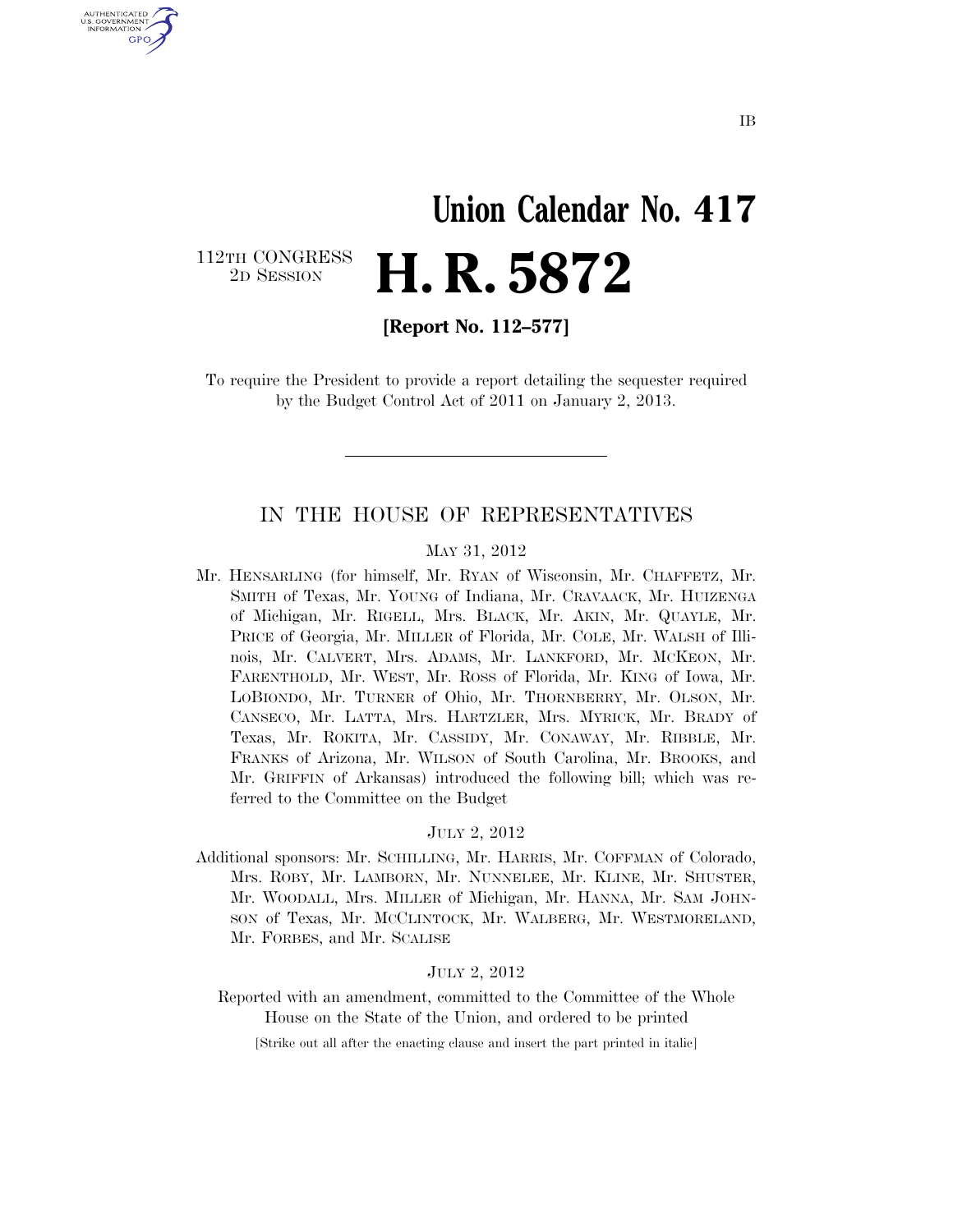# **Union Calendar No. 417**  2D SESSION **H. R. 5872**

112TH CONGRESS<br>2D SESSION

U.S. GOVERNMENT GPO

**[Report No. 112–577]** 

To require the President to provide a report detailing the sequester required by the Budget Control Act of 2011 on January 2, 2013.

#### IN THE HOUSE OF REPRESENTATIVES

#### MAY 31, 2012

Mr. HENSARLING (for himself, Mr. RYAN of Wisconsin, Mr. CHAFFETZ, Mr. SMITH of Texas, Mr. YOUNG of Indiana, Mr. CRAVAACK, Mr. HUIZENGA of Michigan, Mr. RIGELL, Mrs. BLACK, Mr. AKIN, Mr. QUAYLE, Mr. PRICE of Georgia, Mr. MILLER of Florida, Mr. COLE, Mr. WALSH of Illinois, Mr. CALVERT, Mrs. ADAMS, Mr. LANKFORD, Mr. MCKEON, Mr. FARENTHOLD, Mr. WEST, Mr. ROSS of Florida, Mr. KING of Iowa, Mr. LOBIONDO, Mr. TURNER of Ohio, Mr. THORNBERRY, Mr. OLSON, Mr. CANSECO, Mr. LATTA, Mrs. HARTZLER, Mrs. MYRICK, Mr. BRADY of Texas, Mr. ROKITA, Mr. CASSIDY, Mr. CONAWAY, Mr. RIBBLE, Mr. FRANKS of Arizona, Mr. WILSON of South Carolina, Mr. BROOKS, and Mr. GRIFFIN of Arkansas) introduced the following bill; which was referred to the Committee on the Budget

#### JULY 2, 2012

Additional sponsors: Mr. SCHILLING, Mr. HARRIS, Mr. COFFMAN of Colorado, Mrs. ROBY, Mr. LAMBORN, Mr. NUNNELEE, Mr. KLINE, Mr. SHUSTER, Mr. WOODALL, Mrs. MILLER of Michigan, Mr. HANNA, Mr. SAM JOHN-SON of Texas, Mr. MCCLINTOCK, Mr. WALBERG, Mr. WESTMORELAND, Mr. FORBES, and Mr. SCALISE

#### JULY 2, 2012

Reported with an amendment, committed to the Committee of the Whole House on the State of the Union, and ordered to be printed

[Strike out all after the enacting clause and insert the part printed in italic]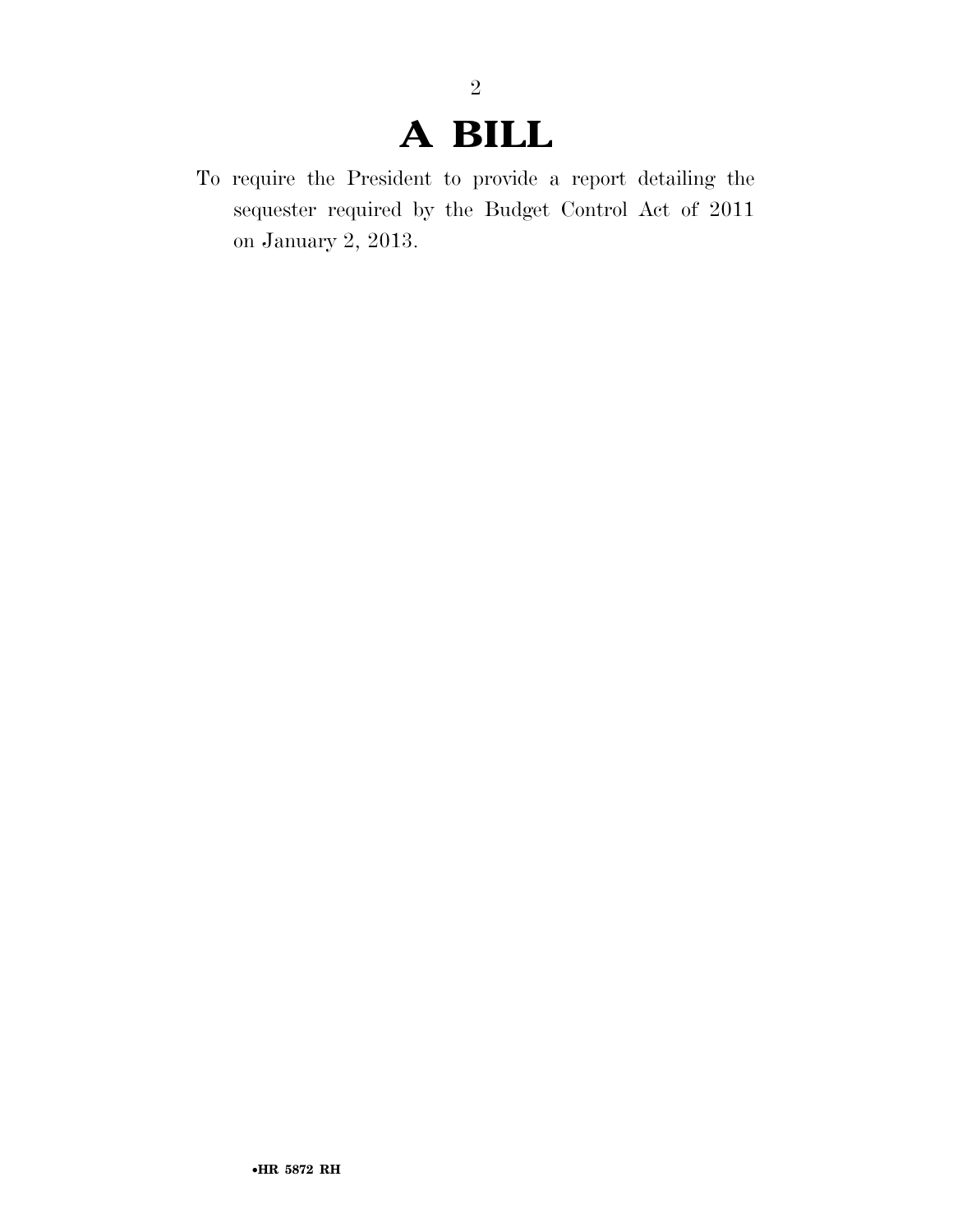## **A BILL**

To require the President to provide a report detailing the sequester required by the Budget Control Act of 2011 on January 2, 2013.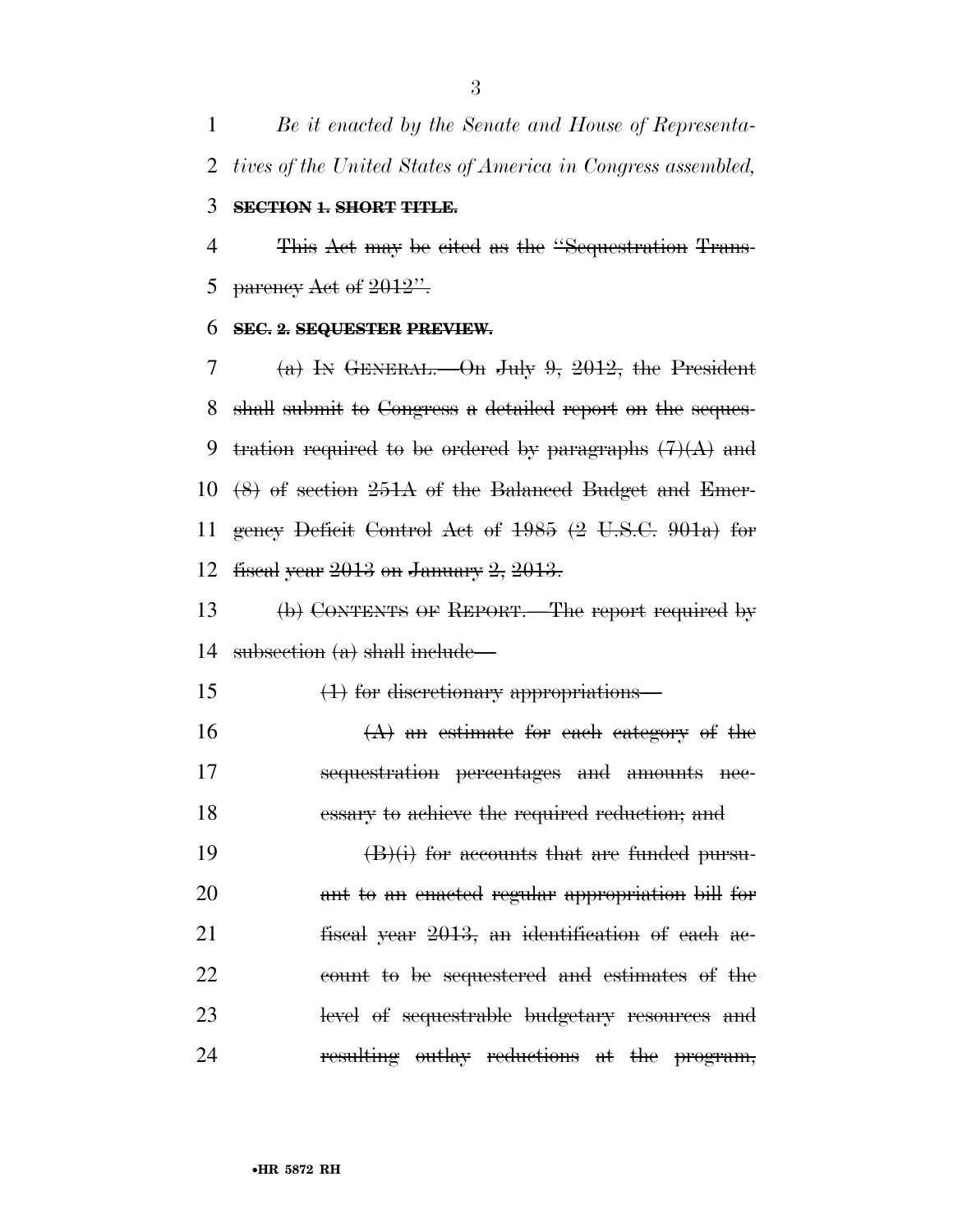*Be it enacted by the Senate and House of Representa-tives of the United States of America in Congress assembled,* 

#### **SECTION 1. SHORT TITLE.**

 This Act may be cited as the ''Sequestration Trans-5 parency Act of  $2012"$ .

#### **SEC. 2. SEQUESTER PREVIEW.**

7 (a) In GENERAL.—On July 9, 2012, the President shall submit to Congress a detailed report on the seques-9 tration required to be ordered by paragraphs  $(7)(A)$  and (8) of section 251A of the Balanced Budget and Emer- gency Deficit Control Act of 1985 (2 U.S.C. 901a) for fiscal year 2013 on January 2, 2013.

 (b) CONTENTS OF REPORT.—The report required by subsection (a) shall include—

(1) for discretionary appropriations—

16  $(A)$  an estimate for each category of the sequestration percentages and amounts nec-essary to achieve the required reduction; and

 $(B)(i)$  for accounts that are funded pursu- ant to an enacted regular appropriation bill for fiscal year 2013, an identification of each ac- count to be sequestered and estimates of the level of sequestrable budgetary resources and 24 resulting outlay reductions at the program,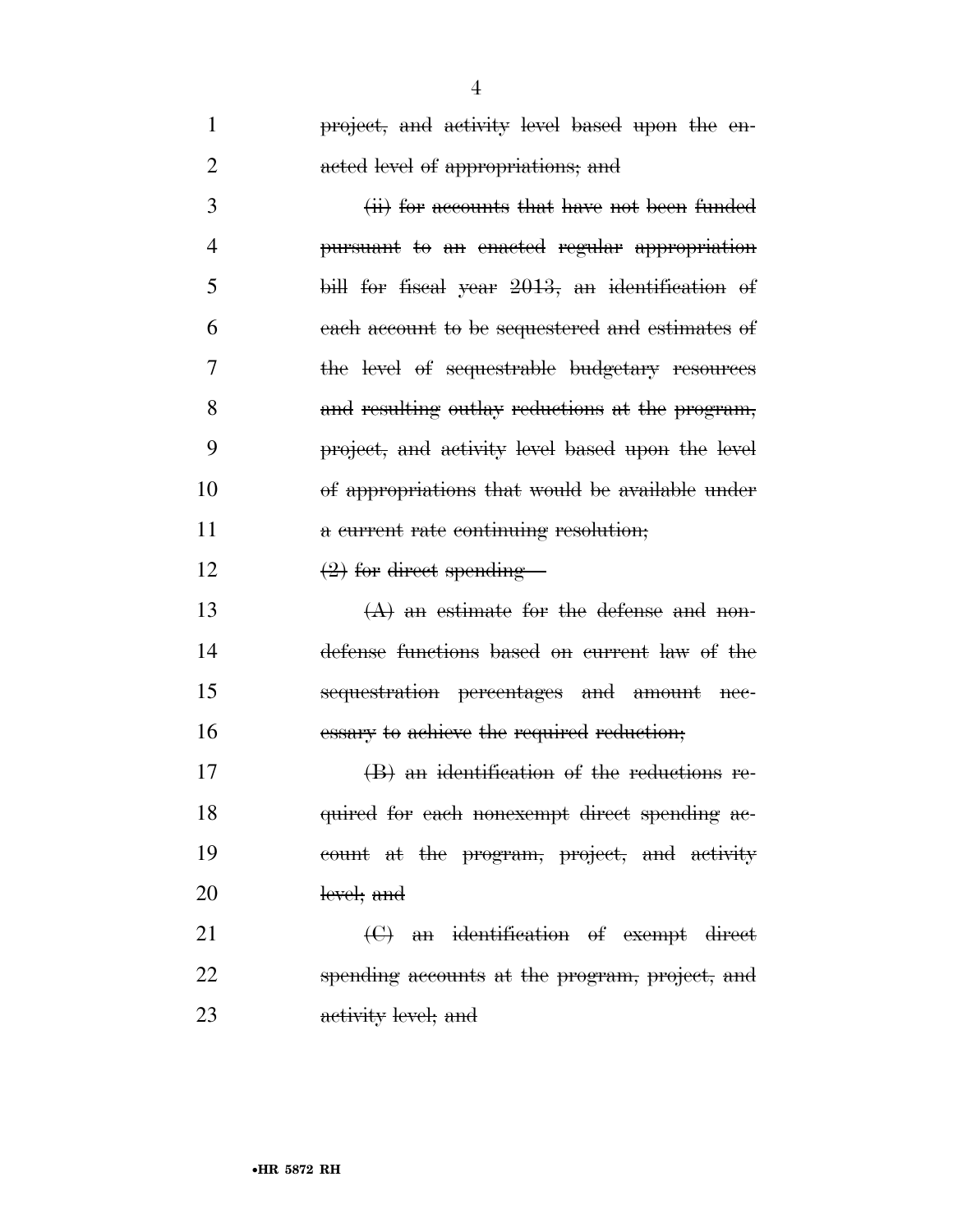| 1              | project, and activity level based upon the en-   |
|----------------|--------------------------------------------------|
| $\overline{2}$ | acted level of appropriations; and               |
| 3              | (ii) for accounts that have not been funded      |
| $\overline{4}$ | pursuant to an enacted regular appropriation     |
| 5              | bill for fiscal year 2013, an identification of  |
| 6              | each account to be sequestered and estimates of  |
| 7              | the level of sequestrable budgetary resources    |
| 8              | and resulting outlay reductions at the program,  |
| 9              | project, and activity level based upon the level |
| 10             | of appropriations that would be available under  |
| 11             | a current rate continuing resolution;            |
| 12             | $(2)$ for direct spending-                       |
| 13             | $(A)$ an estimate for the defense and non-       |
| 14             | defense functions based on current law of the    |
| 15             | sequestration percentages and amount nee-        |
| 16             | essary to achieve the required reduction;        |
| 17             | $(B)$ an identification of the reductions re-    |
| 18             | quired for each nonexempt direct spending ac-    |
| 19             | count at the program, project, and activity      |
| 20             | level; and                                       |
| 21             | $\Theta$ an identification of exempt direct      |
| 22             | spending accounts at the program, project, and   |
| 23             | activity level; and                              |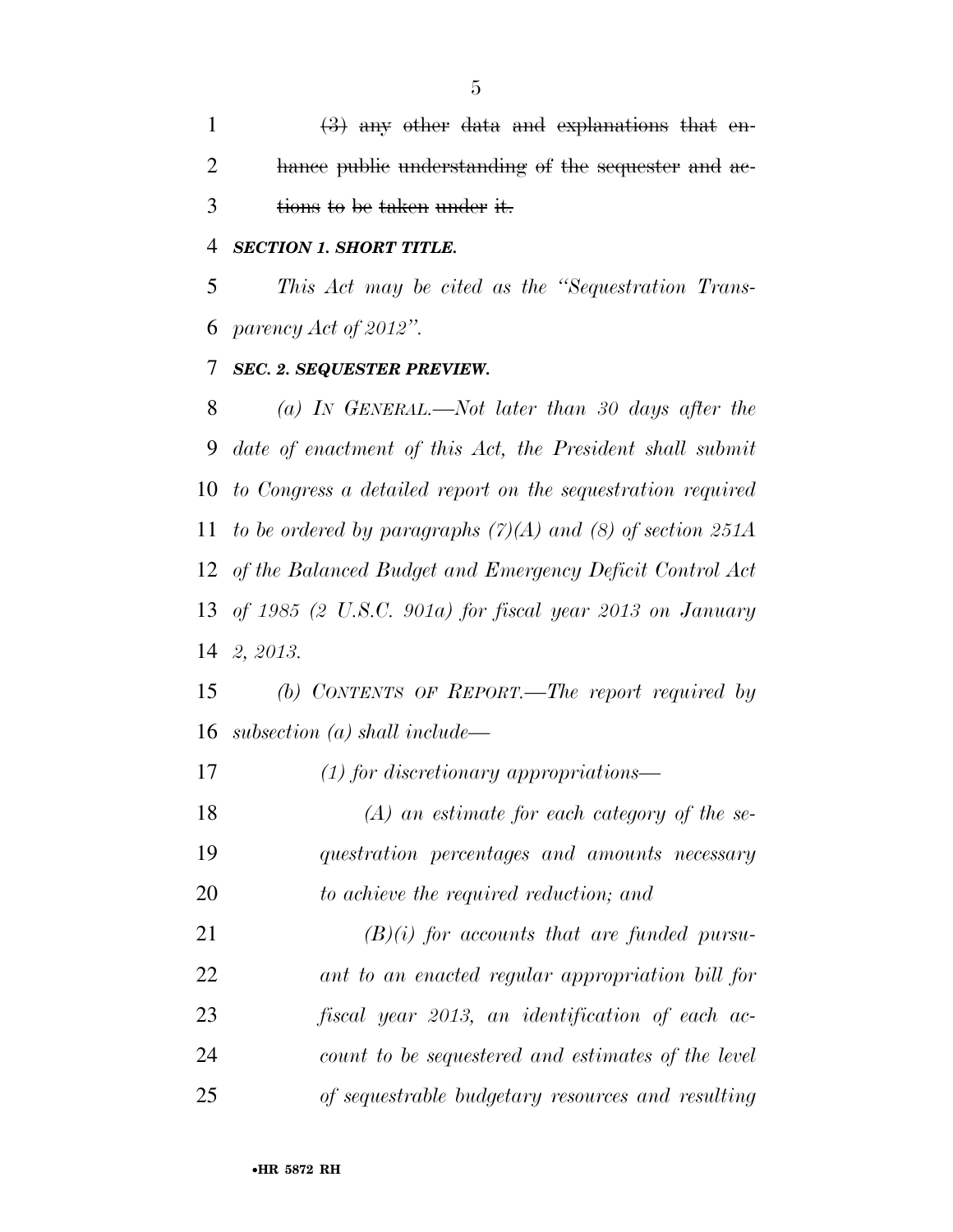1  $\left(3\right)$  any other data and explanations that en-2 hance public understanding of the sequester and ac-3 tions to be taken under it.

### *SECTION 1. SHORT TITLE.*

 *This Act may be cited as the ''Sequestration Trans-parency Act of 2012''.* 

### *SEC. 2. SEQUESTER PREVIEW.*

 *(a) IN GENERAL.—Not later than 30 days after the date of enactment of this Act, the President shall submit to Congress a detailed report on the sequestration required to be ordered by paragraphs (7)(A) and (8) of section 251A of the Balanced Budget and Emergency Deficit Control Act of 1985 (2 U.S.C. 901a) for fiscal year 2013 on January 2, 2013.* 

 *(b) CONTENTS OF REPORT.—The report required by subsection (a) shall include—* 

*(1) for discretionary appropriations—* 

 *(A) an estimate for each category of the se- questration percentages and amounts necessary to achieve the required reduction; and* 

 *(B)(i) for accounts that are funded pursu- ant to an enacted regular appropriation bill for fiscal year 2013, an identification of each ac- count to be sequestered and estimates of the level of sequestrable budgetary resources and resulting*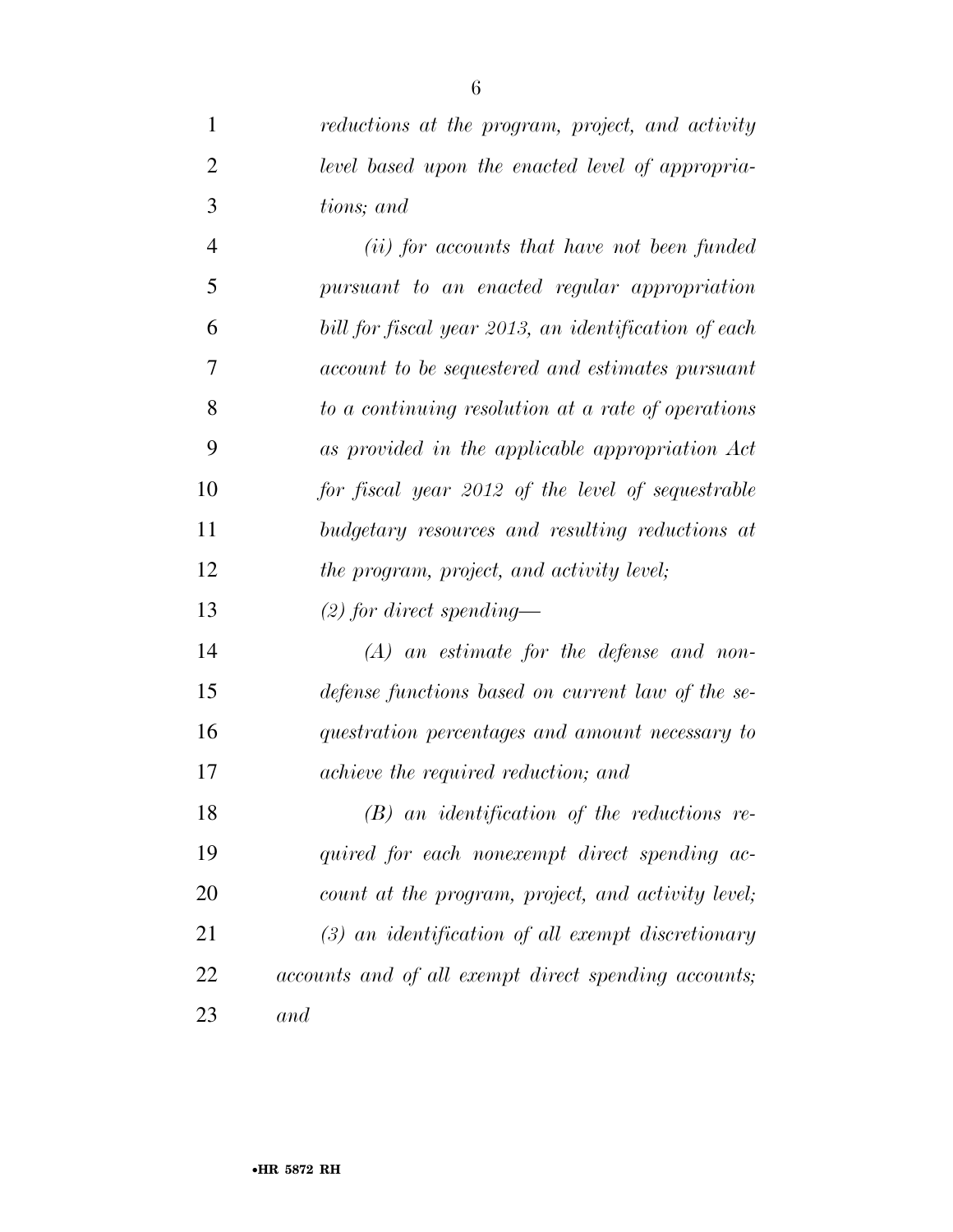*reductions at the program, project, and activity* 

*level based upon the enacted level of appropria-*

| 3              | tions; and                                           |
|----------------|------------------------------------------------------|
| $\overline{4}$ | (ii) for accounts that have not been funded          |
| 5              | pursuant to an enacted regular appropriation         |
| 6              | bill for fiscal year 2013, an identification of each |
| 7              | account to be sequestered and estimates pursuant     |
| 8              | to a continuing resolution at a rate of operations   |
| 9              | as provided in the applicable appropriation Act      |
| 10             | for fiscal year 2012 of the level of sequestrable    |
| 11             | budgetary resources and resulting reductions at      |
| 12             | the program, project, and activity level;            |
| 13             | $(2)$ for direct spending—                           |
| 14             | $(A)$ an estimate for the defense and non-           |
| 15             | defense functions based on current law of the se-    |
| 16             | questration percentages and amount necessary to      |
| 17             | achieve the required reduction; and                  |
| 18             | $(B)$ an identification of the reductions re-        |
| 19             | quired for each nonexempt direct spending ac-        |
| 20             | count at the program, project, and activity level;   |
| 21             | $(3)$ an identification of all exempt discretionary  |
| 22             | accounts and of all exempt direct spending accounts; |

*and*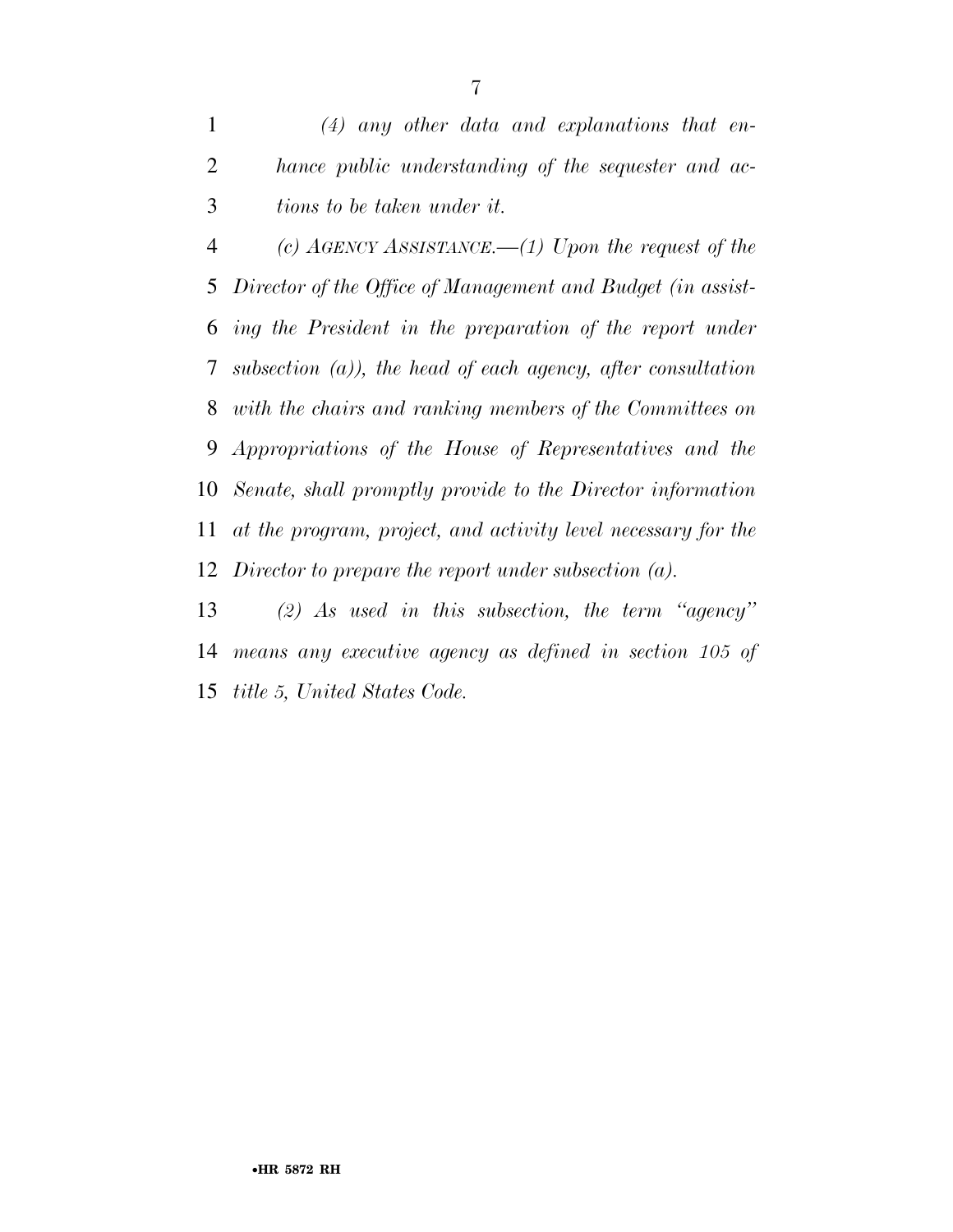*(c) AGENCY ASSISTANCE.—(1) Upon the request of the Director of the Office of Management and Budget (in assist- ing the President in the preparation of the report under subsection (a)), the head of each agency, after consultation with the chairs and ranking members of the Committees on Appropriations of the House of Representatives and the Senate, shall promptly provide to the Director information at the program, project, and activity level necessary for the Director to prepare the report under subsection (a).* 

 *(2) As used in this subsection, the term ''agency'' means any executive agency as defined in section 105 of title 5, United States Code.*